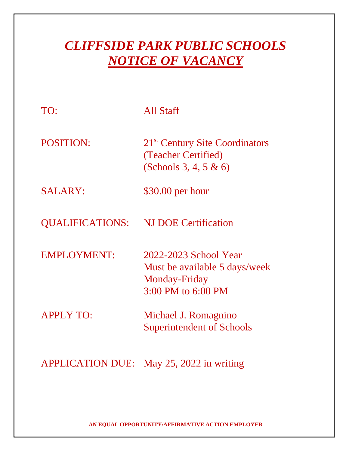# *CLIFFSIDE PARK PUBLIC SCHOOLS NOTICE OF VACANCY*

| TO:                     | All Staff                                                                                     |
|-------------------------|-----------------------------------------------------------------------------------------------|
| <b>POSITION:</b>        | 21 <sup>st</sup> Century Site Coordinators<br>(Teacher Certified)<br>(Schools 3, 4, 5 $\&$ 6) |
| <b>SALARY:</b>          | \$30.00 per hour                                                                              |
| <b>QUALIFICATIONS:</b>  | <b>NJ DOE Certification</b>                                                                   |
| <b>EMPLOYMENT:</b>      | 2022-2023 School Year<br>Must be available 5 days/week<br>Monday-Friday<br>3:00 PM to 6:00 PM |
| <b>APPLY TO:</b>        | Michael J. Romagnino<br><b>Superintendent of Schools</b>                                      |
| <b>APPLICATION DUE:</b> | May 25, 2022 in writing                                                                       |

**AN EQUAL OPPORTUNITY/AFFIRMATIVE ACTION EMPLOYER**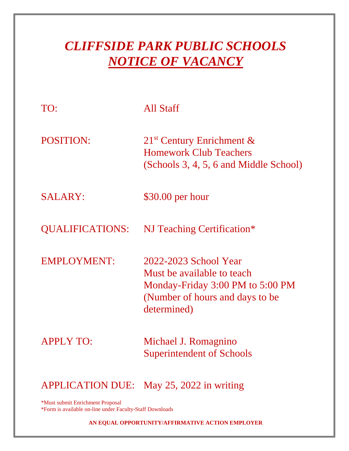## *CLIFFSIDE PARK PUBLIC SCHOOLS NOTICE OF VACANCY*

| TO:                     | All Staff                                                                                                                                 |
|-------------------------|-------------------------------------------------------------------------------------------------------------------------------------------|
| <b>POSITION:</b>        | $21st$ Century Enrichment &<br><b>Homework Club Teachers</b><br>(Schools 3, 4, 5, 6 and Middle School)                                    |
| <b>SALARY:</b>          | $$30.00$ per hour                                                                                                                         |
| <b>QUALIFICATIONS:</b>  | NJ Teaching Certification*                                                                                                                |
| <b>EMPLOYMENT:</b>      | 2022-2023 School Year<br>Must be available to teach<br>Monday-Friday 3:00 PM to 5:00 PM<br>(Number of hours and days to be<br>determined) |
| <b>APPLY TO:</b>        | Michael J. Romagnino<br><b>Superintendent of Schools</b>                                                                                  |
| <b>APPLICATION DUE:</b> | May $25$ , $2022$ in writing                                                                                                              |

\*Must submit Enrichment Proposal \*Form is available on-line under Faculty-Staff Downloads

**AN EQUAL OPPORTUNITY/AFFIRMATIVE ACTION EMPLOYER**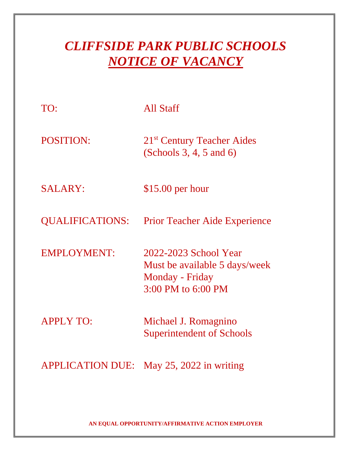## *CLIFFSIDE PARK PUBLIC SCHOOLS NOTICE OF VACANCY*

| TO:                     | All Staff                                                                                       |
|-------------------------|-------------------------------------------------------------------------------------------------|
| <b>POSITION:</b>        | 21 <sup>st</sup> Century Teacher Aides<br>(Schools 3, 4, 5 and 6)                               |
| <b>SALARY:</b>          | $$15.00$ per hour                                                                               |
| QUALIFICATIONS:         | <b>Prior Teacher Aide Experience</b>                                                            |
| <b>EMPLOYMENT:</b>      | 2022-2023 School Year<br>Must be available 5 days/week<br>Monday - Friday<br>3:00 PM to 6:00 PM |
| <b>APPLY TO:</b>        | Michael J. Romagnino<br><b>Superintendent of Schools</b>                                        |
| <b>APPLICATION DUE:</b> | May $25$ , $2022$ in writing                                                                    |

**AN EQUAL OPPORTUNITY/AFFIRMATIVE ACTION EMPLOYER**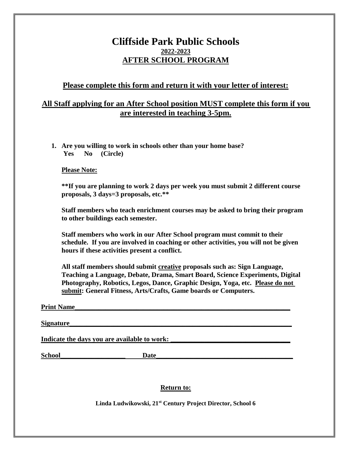### **Cliffside Park Public Schools 2022-2023 AFTER SCHOOL PROGRAM**

### **Please complete this form and return it with your letter of interest:**

### **All Staff applying for an After School position MUST complete this form if you are interested in teaching 3-5pm.**

**1. Are you willing to work in schools other than your home base? Yes No (Circle)**

**Please Note:**

**\*\*If you are planning to work 2 days per week you must submit 2 different course proposals, 3 days=3 proposals, etc.\*\***

**Staff members who teach enrichment courses may be asked to bring their program to other buildings each semester.**

**Staff members who work in our After School program must commit to their schedule. If you are involved in coaching or other activities, you will not be given hours if these activities present a conflict.**

**All staff members should submit creative proposals such as: Sign Language, Teaching a Language, Debate, Drama, Smart Board, Science Experiments, Digital Photography, Robotics, Legos, Dance, Graphic Design, Yoga, etc. Please do not submit: General Fitness, Arts/Crafts, Game boards or Computers.**

#### **Print Name**

**Signature** 

Indicate the days you are available to work:

**School\_\_\_\_\_\_\_\_\_\_\_\_\_\_\_\_\_\_\_ Date\_\_\_\_\_\_\_\_\_\_\_\_\_\_\_\_\_\_\_\_\_\_\_\_\_\_\_\_\_\_\_\_\_\_\_\_\_\_\_\_**

#### **Return to:**

**Linda Ludwikowski, 21st Century Project Director, School 6**